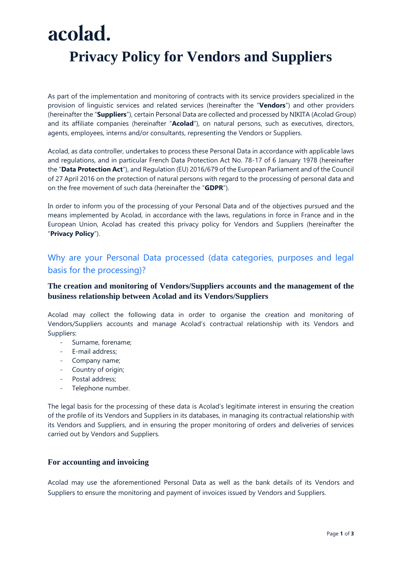# acolad. **Privacy Policy for Vendors and Suppliers**

As part of the implementation and monitoring of contracts with its service providers specialized in the provision of linguistic services and related services (hereinafter the "**Vendors**") and other providers (hereinafter the "**Suppliers**"), certain Personal Data are collected and processed by NIKITA (Acolad Group) and its affiliate companies (hereinafter "**Acolad**"), on natural persons, such as executives, directors, agents, employees, interns and/or consultants, representing the Vendors or Suppliers.

Acolad, as data controller, undertakes to process these Personal Data in accordance with applicable laws and regulations, and in particular French Data Protection Act No. 78-17 of 6 January 1978 (hereinafter the "**Data Protection Act**"), and Regulation (EU) 2016/679 of the European Parliament and of the Council of 27 April 2016 on the protection of natural persons with regard to the processing of personal data and on the free movement of such data (hereinafter the "**GDPR**").

In order to inform you of the processing of your Personal Data and of the objectives pursued and the means implemented by Acolad, in accordance with the laws, regulations in force in France and in the European Union, Acolad has created this privacy policy for Vendors and Suppliers (hereinafter the "**Privacy Policy**").

### Why are your Personal Data processed (data categories, purposes and legal basis for the processing)?

#### **The creation and monitoring of Vendors/Suppliers accounts and the management of the business relationship between Acolad and its Vendors/Suppliers**

Acolad may collect the following data in order to organise the creation and monitoring of Vendors/Suppliers accounts and manage Acolad's contractual relationship with its Vendors and Suppliers:

- Surname, forename;
- E-mail address;
- Company name;
- Country of origin;
- Postal address;
- Telephone number.

The legal basis for the processing of these data is Acolad's legitimate interest in ensuring the creation of the profile of its Vendors and Suppliers in its databases, in managing its contractual relationship with its Vendors and Suppliers, and in ensuring the proper monitoring of orders and deliveries of services carried out by Vendors and Suppliers.

#### **For accounting and invoicing**

Acolad may use the aforementioned Personal Data as well as the bank details of its Vendors and Suppliers to ensure the monitoring and payment of invoices issued by Vendors and Suppliers.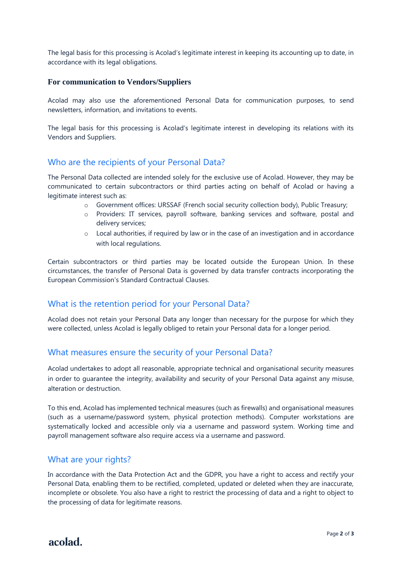The legal basis for this processing is Acolad's legitimate interest in keeping its accounting up to date, in accordance with its legal obligations.

#### **For communication to Vendors/Suppliers**

Acolad may also use the aforementioned Personal Data for communication purposes, to send newsletters, information, and invitations to events.

The legal basis for this processing is Acolad's legitimate interest in developing its relations with its Vendors and Suppliers.

#### Who are the recipients of your Personal Data?

The Personal Data collected are intended solely for the exclusive use of Acolad. However, they may be communicated to certain subcontractors or third parties acting on behalf of Acolad or having a legitimate interest such as:

- o Government offices: URSSAF (French social security collection body), Public Treasury;
- o Providers: IT services, payroll software, banking services and software, postal and delivery services;
- $\circ$  Local authorities, if required by law or in the case of an investigation and in accordance with local regulations.

Certain subcontractors or third parties may be located outside the European Union. In these circumstances, the transfer of Personal Data is governed by data transfer contracts incorporating the European Commission's Standard Contractual Clauses.

#### What is the retention period for your Personal Data?

Acolad does not retain your Personal Data any longer than necessary for the purpose for which they were collected, unless Acolad is legally obliged to retain your Personal data for a longer period.

#### What measures ensure the security of your Personal Data?

Acolad undertakes to adopt all reasonable, appropriate technical and organisational security measures in order to guarantee the integrity, availability and security of your Personal Data against any misuse, alteration or destruction.

To this end, Acolad has implemented technical measures (such as firewalls) and organisational measures (such as a username/password system, physical protection methods). Computer workstations are systematically locked and accessible only via a username and password system. Working time and payroll management software also require access via a username and password.

#### What are your rights?

In accordance with the Data Protection Act and the GDPR, you have a right to access and rectify your Personal Data, enabling them to be rectified, completed, updated or deleted when they are inaccurate, incomplete or obsolete. You also have a right to restrict the processing of data and a right to object to the processing of data for legitimate reasons.

acolad.